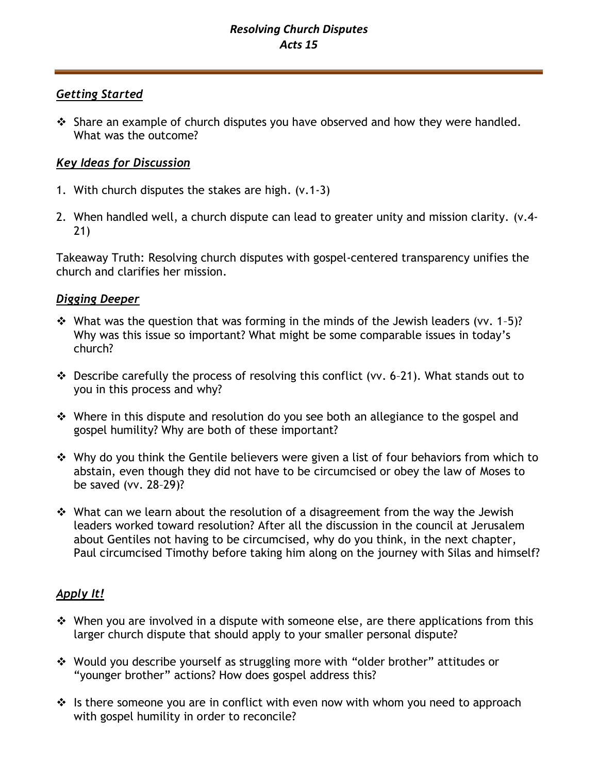## *Resolving Church Disputes Acts 15*

### *Getting Started*

❖ Share an example of church disputes you have observed and how they were handled. What was the outcome?

## *Key Ideas for Discussion*

- 1. With church disputes the stakes are high. (v.1-3)
- 2. When handled well, a church dispute can lead to greater unity and mission clarity. (v.4- 21)

Takeaway Truth: Resolving church disputes with gospel-centered transparency unifies the church and clarifies her mission.

## *Digging Deeper*

- $\cdot$  What was the question that was forming in the minds of the Jewish leaders (vv. 1-5)? Why was this issue so important? What might be some comparable issues in today's church?
- ❖ Describe carefully the process of resolving this conflict (vv. 6–21). What stands out to you in this process and why?
- ❖ Where in this dispute and resolution do you see both an allegiance to the gospel and gospel humility? Why are both of these important?
- ❖ Why do you think the Gentile believers were given a list of four behaviors from which to abstain, even though they did not have to be circumcised or obey the law of Moses to be saved (vv. 28–29)?
- ❖ What can we learn about the resolution of a disagreement from the way the Jewish leaders worked toward resolution? After all the discussion in the council at Jerusalem about Gentiles not having to be circumcised, why do you think, in the next chapter, Paul circumcised Timothy before taking him along on the journey with Silas and himself?

# *Apply It!*

- ❖ When you are involved in a dispute with someone else, are there applications from this larger church dispute that should apply to your smaller personal dispute?
- ❖ Would you describe yourself as struggling more with "older brother" attitudes or "younger brother" actions? How does gospel address this?
- ❖ Is there someone you are in conflict with even now with whom you need to approach with gospel humility in order to reconcile?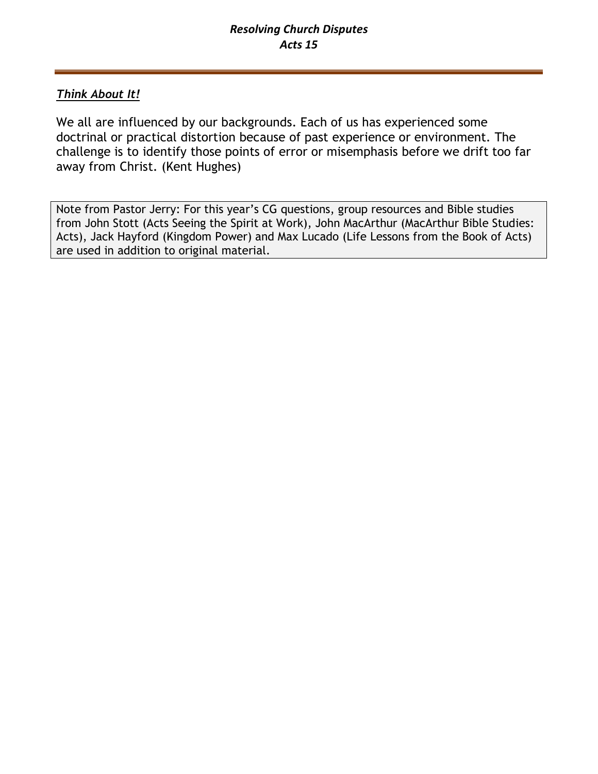# *Think About It!*

We all are influenced by our backgrounds. Each of us has experienced some doctrinal or practical distortion because of past experience or environment. The challenge is to identify those points of error or misemphasis before we drift too far away from Christ. (Kent Hughes)

Note from Pastor Jerry: For this year's CG questions, group resources and Bible studies from John Stott (Acts Seeing the Spirit at Work), John MacArthur (MacArthur Bible Studies: Acts), Jack Hayford (Kingdom Power) and Max Lucado (Life Lessons from the Book of Acts) are used in addition to original material.